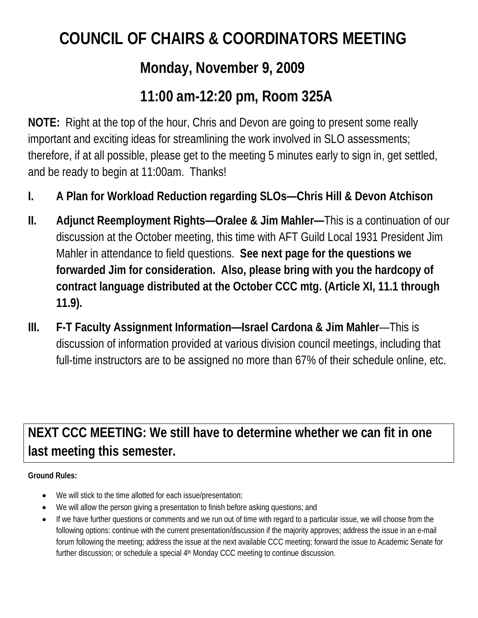# **COUNCIL OF CHAIRS & COORDINATORS MEETING**

## **Monday, November 9, 2009**

## **11:00 am-12:20 pm, Room 325A**

**NOTE:** Right at the top of the hour, Chris and Devon are going to present some really important and exciting ideas for streamlining the work involved in SLO assessments; therefore, if at all possible, please get to the meeting 5 minutes early to sign in, get settled, and be ready to begin at 11:00am. Thanks!

- **I. A Plan for Workload Reduction regarding SLOs—Chris Hill & Devon Atchison**
- **II. Adjunct Reemployment Rights—Oralee & Jim Mahler—**This is a continuation of our discussion at the October meeting, this time with AFT Guild Local 1931 President Jim Mahler in attendance to field questions. **See next page for the questions we forwarded Jim for consideration. Also, please bring with you the hardcopy of contract language distributed at the October CCC mtg. (Article XI, 11.1 through 11.9).**
- **III. F-T Faculty Assignment Information—Israel Cardona & Jim Mahler**—This is discussion of information provided at various division council meetings, including that full-time instructors are to be assigned no more than 67% of their schedule online, etc.

**NEXT CCC MEETING: We still have to determine whether we can fit in one last meeting this semester.**

#### **Ground Rules:**

- We will stick to the time allotted for each issue/presentation;
- We will allow the person giving a presentation to finish before asking questions; and
- If we have further questions or comments and we run out of time with regard to a particular issue, we will choose from the following options: continue with the current presentation/discussion if the majority approves; address the issue in an e-mail forum following the meeting; address the issue at the next available CCC meeting; forward the issue to Academic Senate for further discussion; or schedule a special 4<sup>th</sup> Monday CCC meeting to continue discussion.